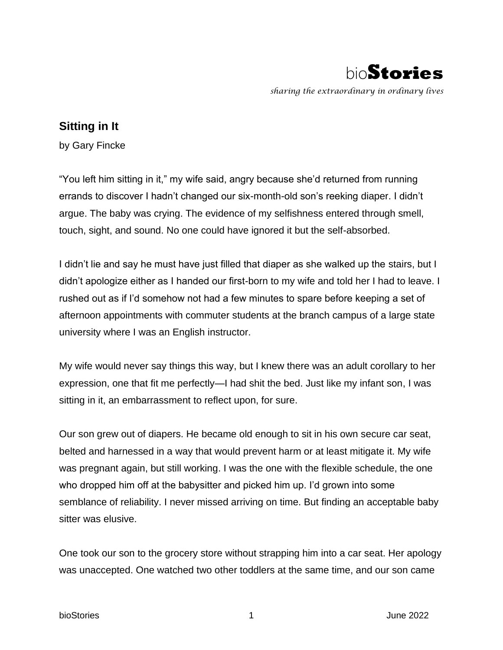

## **Sitting in It**

by Gary Fincke

"You left him sitting in it," my wife said, angry because she'd returned from running errands to discover I hadn't changed our six-month-old son's reeking diaper. I didn't argue. The baby was crying. The evidence of my selfishness entered through smell, touch, sight, and sound. No one could have ignored it but the self-absorbed.

I didn't lie and say he must have just filled that diaper as she walked up the stairs, but I didn't apologize either as I handed our first-born to my wife and told her I had to leave. I rushed out as if I'd somehow not had a few minutes to spare before keeping a set of afternoon appointments with commuter students at the branch campus of a large state university where I was an English instructor.

My wife would never say things this way, but I knew there was an adult corollary to her expression, one that fit me perfectly—I had shit the bed. Just like my infant son, I was sitting in it, an embarrassment to reflect upon, for sure.

Our son grew out of diapers. He became old enough to sit in his own secure car seat, belted and harnessed in a way that would prevent harm or at least mitigate it. My wife was pregnant again, but still working. I was the one with the flexible schedule, the one who dropped him off at the babysitter and picked him up. I'd grown into some semblance of reliability. I never missed arriving on time. But finding an acceptable baby sitter was elusive.

One took our son to the grocery store without strapping him into a car seat. Her apology was unaccepted. One watched two other toddlers at the same time, and our son came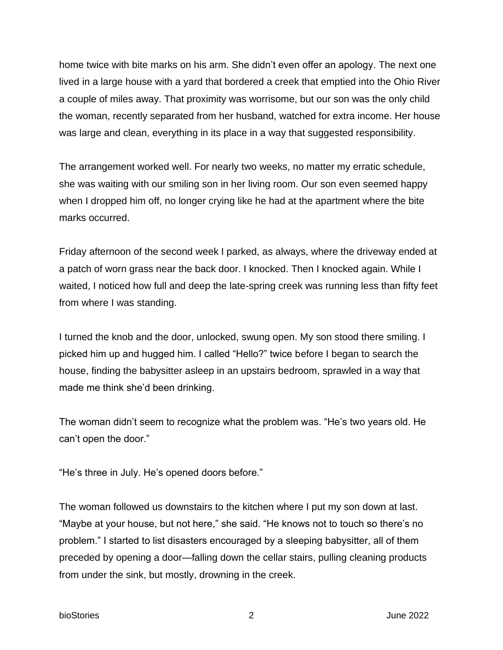home twice with bite marks on his arm. She didn't even offer an apology. The next one lived in a large house with a yard that bordered a creek that emptied into the Ohio River a couple of miles away. That proximity was worrisome, but our son was the only child the woman, recently separated from her husband, watched for extra income. Her house was large and clean, everything in its place in a way that suggested responsibility.

The arrangement worked well. For nearly two weeks, no matter my erratic schedule, she was waiting with our smiling son in her living room. Our son even seemed happy when I dropped him off, no longer crying like he had at the apartment where the bite marks occurred.

Friday afternoon of the second week I parked, as always, where the driveway ended at a patch of worn grass near the back door. I knocked. Then I knocked again. While I waited, I noticed how full and deep the late-spring creek was running less than fifty feet from where I was standing.

I turned the knob and the door, unlocked, swung open. My son stood there smiling. I picked him up and hugged him. I called "Hello?" twice before I began to search the house, finding the babysitter asleep in an upstairs bedroom, sprawled in a way that made me think she'd been drinking.

The woman didn't seem to recognize what the problem was. "He's two years old. He can't open the door."

"He's three in July. He's opened doors before."

The woman followed us downstairs to the kitchen where I put my son down at last. "Maybe at your house, but not here," she said. "He knows not to touch so there's no problem." I started to list disasters encouraged by a sleeping babysitter, all of them preceded by opening a door—falling down the cellar stairs, pulling cleaning products from under the sink, but mostly, drowning in the creek.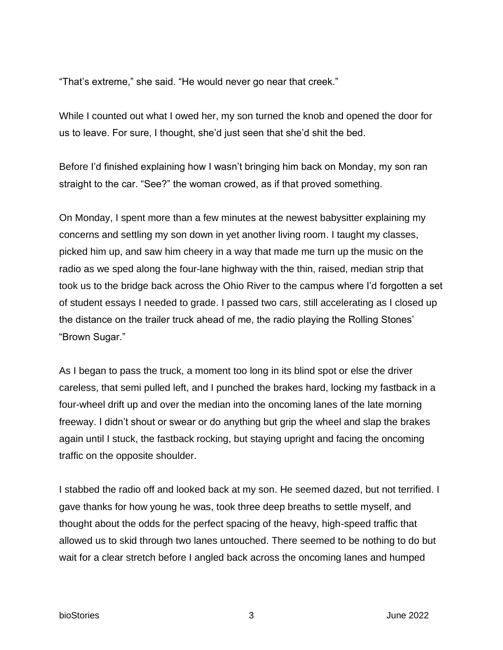"That's extreme," she said. "He would never go near that creek."

While I counted out what I owed her, my son turned the knob and opened the door for us to leave. For sure, I thought, she'd just seen that she'd shit the bed.

Before I'd finished explaining how I wasn't bringing him back on Monday, my son ran straight to the car. "See?" the woman crowed, as if that proved something.

On Monday, I spent more than a few minutes at the newest babysitter explaining my concerns and settling my son down in yet another living room. I taught my classes, picked him up, and saw him cheery in a way that made me turn up the music on the radio as we sped along the four-lane highway with the thin, raised, median strip that took us to the bridge back across the Ohio River to the campus where I'd forgotten a set of student essays I needed to grade. I passed two cars, still accelerating as I closed up the distance on the trailer truck ahead of me, the radio playing the Rolling Stones' "Brown Sugar."

As I began to pass the truck, a moment too long in its blind spot or else the driver careless, that semi pulled left, and I punched the brakes hard, locking my fastback in a four-wheel drift up and over the median into the oncoming lanes of the late morning freeway. I didn't shout or swear or do anything but grip the wheel and slap the brakes again until I stuck, the fastback rocking, but staying upright and facing the oncoming traffic on the opposite shoulder.

I stabbed the radio off and looked back at my son. He seemed dazed, but not terrified. I gave thanks for how young he was, took three deep breaths to settle myself, and thought about the odds for the perfect spacing of the heavy, high-speed traffic that allowed us to skid through two lanes untouched. There seemed to be nothing to do but wait for a clear stretch before I angled back across the oncoming lanes and humped